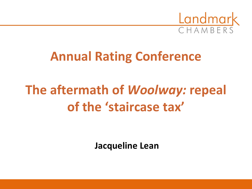

# **Annual Rating Conference**

# **The aftermath of** *Woolway:* **repeal of the 'staircase tax'**

**Jacqueline Lean**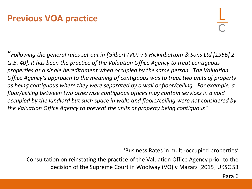### **Previous VOA practice**

"*Following the general rules set out in [Gilbert (VO) v S Hickinbottom & Sons Ltd [1956] 2 Q.B. 40], it has been the practice of the Valuation Office Agency to treat contiguous properties as a single hereditament when occupied by the same person. The Valuation Office Agency's approach to the meaning of contiguous was to treat two units of property as being contiguous where they were separated by a wall or floor/ceiling. For example, a floor/ceiling between two otherwise contiguous offices may contain services in a void occupied by the landlord but such space in walls and floors/ceiling were not considered by the Valuation Office Agency to prevent the units of property being contiguous"*

'Business Rates in multi-occupied properties'

Consultation on reinstating the practice of the Valuation Office Agency prior to the decision of the Supreme Court in Woolway (VO) v Mazars [2015] UKSC 53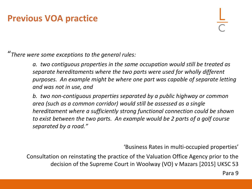#### **Previous VOA practice**

"*There were some exceptions to the general rules:*

*a. two contiguous properties in the same occupation would still be treated as separate hereditaments where the two parts were used for wholly different purposes. An example might be where one part was capable of separate letting and was not in use, and*

*b. two non-contiguous properties separated by a public highway or common area (such as a common corridor) would still be assessed as a single hereditament where a sufficiently strong functional connection could be shown to exist between the two parts. An example would be 2 parts of a golf course separated by a road."*

'Business Rates in multi-occupied properties'

Consultation on reinstating the practice of the Valuation Office Agency prior to the decision of the Supreme Court in Woolway (VO) v Mazars [2015] UKSC 53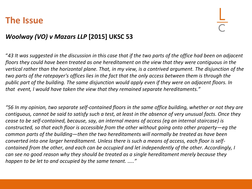#### **The Issue**

#### *Woolway (VO) v Mazars LLP* **[2015] UKSC 53**

"*43 It was suggested in the discussion in this case that if the two parts of the office had been on adjacent floors they could have been treated as one hereditament on the view that they were contiguous in the vertical rather than the horizontal plane. That, in my view, is a contrived argument. The disjunction of the two parts of the ratepayer's offices lies in the fact that the only access between them is through the public part of the building. The same disjunction would apply even if they were on adjacent floors. In that event, I would have taken the view that they remained separate hereditaments."*

*"56 In my opinion, two separate self-contained floors in the same office building, whether or not they are contiguous, cannot be said to satisfy such a test, at least in the absence of very unusual facts. Once they cease to be self-contained, because, say, an internal means of access (eg an internal staircase) is constructed, so that each floor is accessible from the other without going onto other property—eg the common parts of the building—then the two hereditaments will normally be treated as have been converted into one larger hereditament. Unless there is such a means of access, each floor is selfcontained from the other, and each can be occupied and let independently of the other. Accordingly, I can see no good reason why they should be treated as a single hereditament merely because they happen to be let to and occupied by the same tenant. ….."*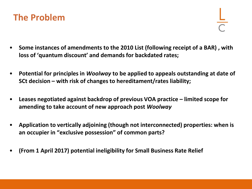

- **Some instances of amendments to the 2010 List (following receipt of a BAR) , with loss of 'quantum discount' and demands for backdated rates;**
- **Potential for principles in** *Woolway* **to be applied to appeals outstanding at date of SCt decision – with risk of changes to hereditament/rates liability;**
- **Leases negotiated against backdrop of previous VOA practice – limited scope for amending to take account of new approach post** *Woolway*
- **Application to vertically adjoining (though not interconnected) properties: when is an occupier in "exclusive possession" of common parts?**
- **(From 1 April 2017) potential ineligibility for Small Business Rate Relief**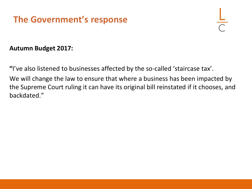# **The Government's response**

#### **Autumn Budget 2017:**

**"**I've also listened to businesses affected by the so-called 'staircase tax'.

We will change the law to ensure that where a business has been impacted by the Supreme Court ruling it can have its original bill reinstated if it chooses, and backdated."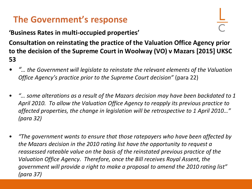# **The Government's response**

**'Business Rates in multi-occupied properties'**

**Consultation on reinstating the practice of the Valuation Office Agency prior to the decision of the Supreme Court in Woolway (VO) v Mazars [2015] UKSC 53**

- *"… the Government will legislate to reinstate the relevant elements of the Valuation Office Agency's practice prior to the Supreme Court decision"* (para 22)
- *"… some alterations as a result of the Mazars decision may have been backdated to 1 April 2010. To allow the Valuation Office Agency to reapply its previous practice to affected properties, the change in legislation will be retrospective to 1 April 2010…" (para 32)*
- *"The government wants to ensure that those ratepayers who have been affected by the Mazars decision in the 2010 rating list have the opportunity to request a reassessed rateable value on the basis of the reinstated previous practice of the Valuation Office Agency. Therefore, once the Bill receives Royal Assent, the government will provide a right to make a proposal to amend the 2010 rating list" (para 37)*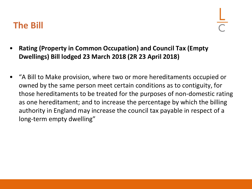- **Rating (Property in Common Occupation) and Council Tax (Empty Dwellings) Bill lodged 23 March 2018 (2R 23 April 2018)**
- "A Bill to Make provision, where two or more hereditaments occupied or owned by the same person meet certain conditions as to contiguity, for those hereditaments to be treated for the purposes of non-domestic rating as one hereditament; and to increase the percentage by which the billing authority in England may increase the council tax payable in respect of a long-term empty dwelling"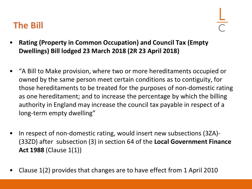- **Rating (Property in Common Occupation) and Council Tax (Empty Dwellings) Bill lodged 23 March 2018 (2R 23 April 2018)**
- "A Bill to Make provision, where two or more hereditaments occupied or owned by the same person meet certain conditions as to contiguity, for those hereditaments to be treated for the purposes of non-domestic rating as one hereditament; and to increase the percentage by which the billing authority in England may increase the council tax payable in respect of a long-term empty dwelling"
- In respect of non-domestic rating, would insert new subsections (3ZA)- (33ZD) after subsection (3) in section 64 of the **Local Government Finance Act 1988** (Clause 1(1))
- Clause 1(2) provides that changes are to have effect from 1 April 2010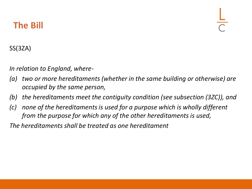#### SS(3ZA)

*In relation to England, where-*

- *(a) two or more hereditaments (whether in the same building or otherwise) are occupied by the same person,*
- *(b) the hereditaments meet the contiguity condition (see subsection (3ZC)), and*
- *(c) none of the hereditaments is used for a purpose which is wholly different from the purpose for which any of the other hereditaments is used,*

*The hereditaments shall be treated as one hereditament*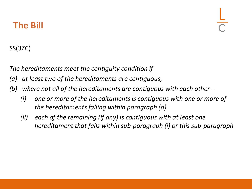#### SS(3ZC)

*The hereditaments meet the contiguity condition if-*

- *(a) at least two of the hereditaments are contiguous,*
- *(b) where not all of the hereditaments are contiguous with each other –*
	- *(i) one or more of the hereditaments is contiguous with one or more of the hereditaments falling within paragraph (a)*
	- *(ii) each of the remaining (if any) is contiguous with at least one hereditament that falls within sub-paragraph (i) or this sub-paragraph*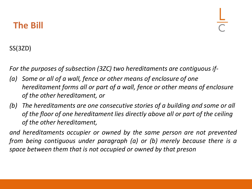#### SS(3ZD)

*For the purposes of subsection (3ZC) two hereditaments are contiguous if-*

- *(a) Some or all of a wall, fence or other means of enclosure of one hereditament forms all or part of a wall, fence or other means of enclosure of the other hereditament, or*
- *(b) The hereditaments are one consecutive stories of a building and some or all of the floor of one hereditament lies directly above all or part of the ceiling of the other hereditament,*

*and hereditaments occupier or owned by the same person are not prevented from being contiguous under paragraph (a) or (b) merely because there is a space between them that is not occupied or owned by that preson*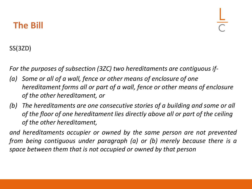#### SS(3ZD)

*For the purposes of subsection (3ZC) two hereditaments are contiguous if-*

- *(a) Some or all of a wall, fence or other means of enclosure of one hereditament forms all or part of a wall, fence or other means of enclosure of the other hereditament, or*
- *(b) The hereditaments are one consecutive stories of a building and some or all of the floor of one hereditament lies directly above all or part of the ceiling of the other hereditament,*

*and hereditaments occupier or owned by the same person are not prevented from being contiguous under paragraph (a) or (b) merely because there is a space between them that is not occupied or owned by that person*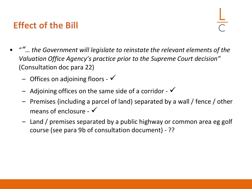# **Effect of the Bill**

- "*"… the Government will legislate to reinstate the relevant elements of the Valuation Office Agency's practice prior to the Supreme Court decision"*  (Consultation doc para 22)
	- $-$  Offices on adjoining floors  $\checkmark$
	- Adjoining offices on the same side of a corridor  $\checkmark$
	- Premises (including a parcel of land) separated by a wall / fence / other means of enclosure -  $\checkmark$
	- Land / premises separated by a public highway or common area eg golf course (see para 9b of consultation document) - ??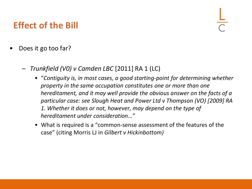# **Effect of the Bill**

- Does it go too far?
	- *Trunkfield (V0) v Camden LBC* [2011] RA 1 (LC)
		- "*Contiguity is, in most cases, a good starting-point for determining whether property in the same occupation constitutes one or more than one hereditament, and it may well provide the obvious answer on the facts of a particular case: see Slough Heat and Power Ltd v Thompson (VO) [2009] RA 1. Whether it does or not, however, may depend on the type of hereditament under consideration…"*
		- What is required is a "common-sense assessment of the features of the case" (citing Morris LJ in *Gilbert v Hickinbottom)*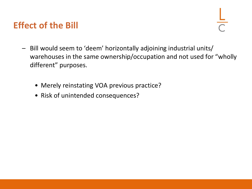### **Effect of the Bill**

- Bill would seem to 'deem' horizontally adjoining industrial units/ warehouses in the same ownership/occupation and not used for "wholly different" purposes.
	- Merely reinstating VOA previous practice?
	- Risk of unintended consequences?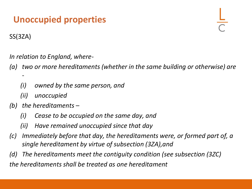# **Unoccupied properties**

SS(3ZA)

*In relation to England, where-*

- *(a) two or more hereditaments (whether in the same building or otherwise) are -*
	- *(i) owned by the same person, and*
	- *(ii) unoccupied*
- *(b) the hereditaments –*
	- *(i) Cease to be occupied on the same day, and*
	- *(ii) Have remained unoccupied since that day*
- *(c) Immediately before that day, the hereditaments were, or formed part of, a single hereditament by virtue of subsection (3ZA),and*
- *(d) The hereditaments meet the contiguity condition (see subsection (3ZC)*

*the hereditaments shall be treated as one hereditament*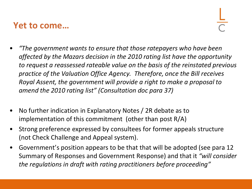#### **Yet to come…**

- *"The government wants to ensure that those ratepayers who have been affected by the Mazars decision in the 2010 rating list have the opportunity to request a reassessed rateable value on the basis of the reinstated previous practice of the Valuation Office Agency. Therefore, once the Bill receives Royal Assent, the government will provide a right to make a proposal to amend the 2010 rating list" (Consultation doc para 37)*
- No further indication in Explanatory Notes / 2R debate as to implementation of this commitment (other than post R/A)
- Strong preference expressed by consultees for former appeals structure (not Check Challenge and Appeal system).
- Government's position appears to be that that will be adopted (see para 12 Summary of Responses and Government Response) and that it *"will consider the regulations in draft with rating practitioners before proceeding"*